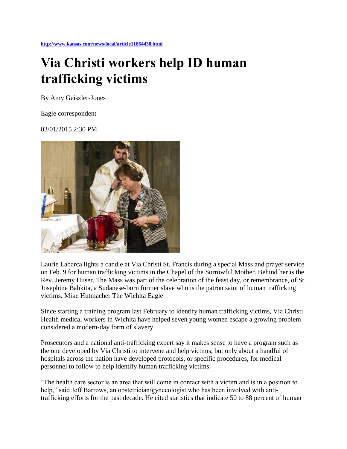**<http://www.kansas.com/news/local/article11864438.html>**

## **Via Christi workers help ID human trafficking victims**

By Amy Geiszler-Jones

Eagle correspondent

03/01/2015 2:30 PM



Laurie Labarca lights a candle at Via Christi St. Francis during a special Mass and prayer service on Feb. 9 for human trafficking victims in the Chapel of the Sorrowful Mother. Behind her is the Rev. Jeremy Huser. The Mass was part of the celebration of the feast day, or remembrance, of St. Josephine Bahkita, a Sudanese-born former slave who is the patron saint of human trafficking victims. Mike Hutmacher The Wichita Eagle

Since starting a training program last February to identify human trafficking victims, Via Christi Health medical workers in Wichita have helped seven young women escape a growing problem considered a modern-day form of slavery.

Prosecutors and a national anti-trafficking expert say it makes sense to have a program such as the one developed by Via Christi to intervene and help victims, but only about a handful of hospitals across the nation have developed protocols, or specific procedures, for medical personnel to follow to help identify human trafficking victims.

"The health care sector is an area that will come in contact with a victim and is in a position to help," said Jeff Barrows, an obstetrician/gynecologist who has been involved with antitrafficking efforts for the past decade. He cited statistics that indicate 50 to 88 percent of human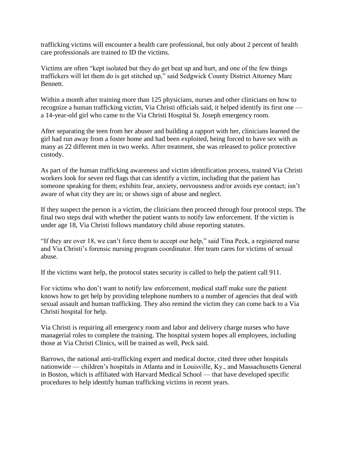trafficking victims will encounter a health care professional, but only about 2 percent of health care professionals are trained to ID the victims.

Victims are often "kept isolated but they do get beat up and hurt, and one of the few things traffickers will let them do is get stitched up," said Sedgwick County District Attorney Marc Bennett.

Within a month after training more than 125 physicians, nurses and other clinicians on how to recognize a human trafficking victim, Via Christi officials said, it helped identify its first one a 14-year-old girl who came to the Via Christi Hospital St. Joseph emergency room.

After separating the teen from her abuser and building a rapport with her, clinicians learned the girl had run away from a foster home and had been exploited, being forced to have sex with as many as 22 different men in two weeks. After treatment, she was released to police protective custody.

As part of the human trafficking awareness and victim identification process, trained Via Christi workers look for seven red flags that can identify a victim, including that the patient has someone speaking for them; exhibits fear, anxiety, nervousness and/or avoids eye contact; isn't aware of what city they are in; or shows sign of abuse and neglect.

If they suspect the person is a victim, the clinicians then proceed through four protocol steps. The final two steps deal with whether the patient wants to notify law enforcement. If the victim is under age 18, Via Christi follows mandatory child abuse reporting statutes.

"If they are over 18, we can't force them to accept our help," said Tina Peck, a registered nurse and Via Christi's forensic nursing program coordinator. Her team cares for victims of sexual abuse.

If the victims want help, the protocol states security is called to help the patient call 911.

For victims who don't want to notify law enforcement, medical staff make sure the patient knows how to get help by providing telephone numbers to a number of agencies that deal with sexual assault and human trafficking. They also remind the victim they can come back to a Via Christi hospital for help.

Via Christi is requiring all emergency room and labor and delivery charge nurses who have managerial roles to complete the training. The hospital system hopes all employees, including those at Via Christi Clinics, will be trained as well, Peck said.

Barrows, the national anti-trafficking expert and medical doctor, cited three other hospitals nationwide — children's hospitals in Atlanta and in Louisville, Ky., and Massachusetts General in Boston, which is affiliated with Harvard Medical School — that have developed specific procedures to help identify human trafficking victims in recent years.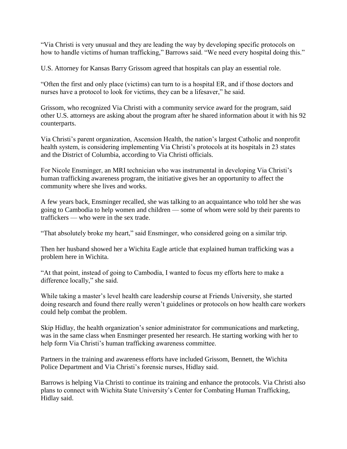"Via Christi is very unusual and they are leading the way by developing specific protocols on how to handle victims of human trafficking," Barrows said. "We need every hospital doing this."

U.S. Attorney for Kansas Barry Grissom agreed that hospitals can play an essential role.

"Often the first and only place (victims) can turn to is a hospital ER, and if those doctors and nurses have a protocol to look for victims, they can be a lifesaver," he said.

Grissom, who recognized Via Christi with a community service award for the program, said other U.S. attorneys are asking about the program after he shared information about it with his 92 counterparts.

Via Christi's parent organization, Ascension Health, the nation's largest Catholic and nonprofit health system, is considering implementing Via Christi's protocols at its hospitals in 23 states and the District of Columbia, according to Via Christi officials.

For Nicole Ensminger, an MRI technician who was instrumental in developing Via Christi's human trafficking awareness program, the initiative gives her an opportunity to affect the community where she lives and works.

A few years back, Ensminger recalled, she was talking to an acquaintance who told her she was going to Cambodia to help women and children — some of whom were sold by their parents to traffickers — who were in the sex trade.

"That absolutely broke my heart," said Ensminger, who considered going on a similar trip.

Then her husband showed her a Wichita Eagle article that explained human trafficking was a problem here in Wichita.

"At that point, instead of going to Cambodia, I wanted to focus my efforts here to make a difference locally," she said.

While taking a master's level health care leadership course at Friends University, she started doing research and found there really weren't guidelines or protocols on how health care workers could help combat the problem.

Skip Hidlay, the health organization's senior administrator for communications and marketing, was in the same class when Ensminger presented her research. He starting working with her to help form Via Christi's human trafficking awareness committee.

Partners in the training and awareness efforts have included Grissom, Bennett, the Wichita Police Department and Via Christi's forensic nurses, Hidlay said.

Barrows is helping Via Christi to continue its training and enhance the protocols. Via Christi also plans to connect with Wichita State University's Center for Combating Human Trafficking, Hidlay said.